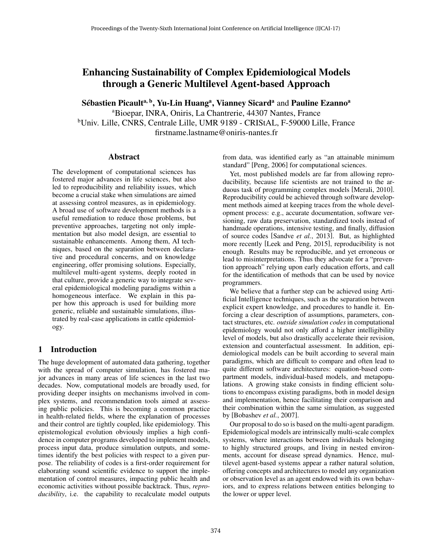# Enhancing Sustainability of Complex Epidemiological Models through a Generic Multilevel Agent-based Approach

Sébastien Picault<sup>a, b</sup>, Yu-Lin Huang<sup>a</sup>, Vianney Sicard<sup>a</sup> and Pauline Ezanno<sup>a</sup> <sup>a</sup>Bioepar, INRA, Oniris, La Chantrerie, 44307 Nantes, France <sup>b</sup>Univ. Lille, CNRS, Centrale Lille, UMR 9189 - CRIStAL, F-59000 Lille, France firstname.lastname@oniris-nantes.fr

#### Abstract

The development of computational sciences has fostered major advances in life sciences, but also led to reproducibility and reliability issues, which become a crucial stake when simulations are aimed at assessing control measures, as in epidemiology. A broad use of software development methods is a useful remediation to reduce those problems, but preventive approaches, targeting not only implementation but also model design, are essential to sustainable enhancements. Among them, AI techniques, based on the separation between declarative and procedural concerns, and on knowledge engineering, offer promising solutions. Especially, multilevel multi-agent systems, deeply rooted in that culture, provide a generic way to integrate several epidemiological modeling paradigms within a homogeneous interface. We explain in this paper how this approach is used for building more generic, reliable and sustainable simulations, illustrated by real-case applications in cattle epidemiology.

### 1 Introduction

The huge development of automated data gathering, together with the spread of computer simulation, has fostered major advances in many areas of life sciences in the last two decades. Now, computational models are broadly used, for providing deeper insights on mechanisms involved in complex systems, and recommendation tools aimed at assessing public policies. This is becoming a common practice in health-related fields, where the explanation of processes and their control are tightly coupled, like epidemiology. This epistemological evolution obviously implies a high confidence in computer programs developed to implement models, process input data, produce simulation outputs, and sometimes identify the best policies with respect to a given purpose. The reliability of codes is a first-order requirement for elaborating sound scientific evidence to support the implementation of control measures, impacting public health and economic activities without possible backtrack. Thus, *reproducibility*, i.e. the capability to recalculate model outputs from data, was identified early as "an attainable minimum standard" [Peng, 2006] for computational sciences.

Yet, most published models are far from allowing reproducibility, because life scientists are not trained to the arduous task of programming complex models [Merali, 2010]. Reproducibility could be achieved through software development methods aimed at keeping traces from the whole development process: e.g., accurate documentation, software versioning, raw data preservation, standardized tools instead of handmade operations, intensive testing, and finally, diffusion of source codes [Sandve *et al.*, 2013]. But, as highlighted more recently [Leek and Peng, 2015], reproducibility is not enough. Results may be reproducible, and yet erroneous or lead to misinterpretations. Thus they advocate for a "prevention approach" relying upon early education efforts, and call for the identification of methods that can be used by novice programmers.

We believe that a further step can be achieved using Artificial Intelligence techniques, such as the separation between explicit expert knowledge, and procedures to handle it. Enforcing a clear description of assumptions, parameters, contact structures, etc. *outside simulation codes* in computational epidemiology would not only afford a higher intelligibility level of models, but also drastically accelerate their revision, extension and counterfactual assessment. In addition, epidemiological models can be built according to several main paradigms, which are difficult to compare and often lead to quite different software architectures: equation-based compartment models, individual-based models, and metapopulations. A growing stake consists in finding efficient solutions to encompass existing paradigms, both in model design and implementation, hence facilitating their comparison and their combination within the same simulation, as suggested by [Bobashev *et al.*, 2007].

Our proposal to do so is based on the multi-agent paradigm. Epidemiological models are intrinsically multi-scale complex systems, where interactions between individuals belonging to highly structured groups, and living in nested environments, account for disease spread dynamics. Hence, multilevel agent-based systems appear a rather natural solution, offering concepts and architectures to model any organization or observation level as an agent endowed with its own behaviors, and to express relations between entities belonging to the lower or upper level.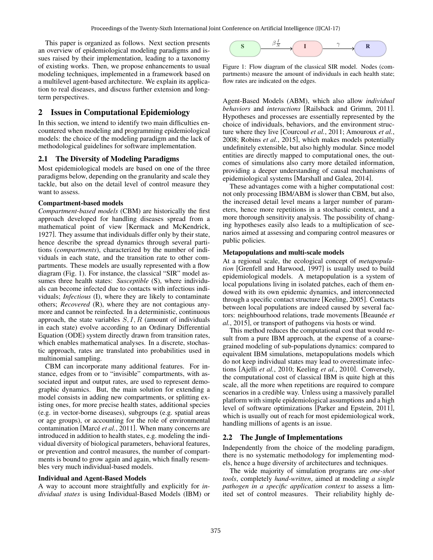This paper is organized as follows. Next section presents an overview of epidemiological modeling paradigms and issues raised by their implementation, leading to a taxonomy of existing works. Then, we propose enhancements to usual modeling techniques, implemented in a framework based on a multilevel agent-based architecture. We explain its application to real diseases, and discuss further extension and longterm perspectives.

# 2 Issues in Computational Epidemiology

In this section, we intend to identify two main difficulties encountered when modeling and programming epidemiological models: the choice of the modeling paradigm and the lack of methodological guidelines for software implementation.

### 2.1 The Diversity of Modeling Paradigms

Most epidemiological models are based on one of the three paradigms below, depending on the granularity and scale they tackle, but also on the detail level of control measure they want to assess.

#### Compartment-based models

*Compartment-based models* (CBM) are historically the first approach developed for handling diseases spread from a mathematical point of view [Kermack and McKendrick, 1927]. They assume that individuals differ only by their state, hence describe the spread dynamics through several partitions (*compartments*), characterized by the number of individuals in each state, and the transition rate to other compartments. These models are usually represented with a flow diagram (Fig. 1). For instance, the classical "SIR" model assumes three health states: *Susceptible* (S), where individuals can become infected due to contacts with infectious individuals; *Infectious* (I), where they are likely to contaminate others; *Recovered* (R), where they are not contagious anymore and cannot be reinfected. In a deterministic, continuous approach, the state variables  $S, I, R$  (amount of individuals in each state) evolve according to an Ordinary Differential Equation (ODE) system directly drawn from transition rates, which enables mathematical analyses. In a discrete, stochastic approach, rates are translated into probabilities used in multinomial sampling.

CBM can incorporate many additional features. For instance, edges from or to "invisible" compartments, with associated input and output rates, are used to represent demographic dynamics. But, the main solution for extending a model consists in adding new compartments, or splitting existing ones, for more precise health states, additional species (e.g. in vector-borne diseases), subgroups (e.g. spatial areas or age groups), or accounting for the role of environmental contamination [Marcé *et al.*, 2011]. When many concerns are introduced in addition to health states, e.g. modeling the individual diversity of biological parameters, behavioral features, or prevention and control measures, the number of compartments is bound to grow again and again, which finally resembles very much individual-based models.

#### Individual and Agent-Based Models

A way to account more straightfully and explicitly for *individual states* is using Individual-Based Models (IBM) or



Figure 1: Flow diagram of the classical SIR model. Nodes (compartments) measure the amount of individuals in each health state; flow rates are indicated on the edges.

Agent-Based Models (ABM), which also allow *individual behaviors* and *interactions* [Railsback and Grimm, 2011]. Hypotheses and processes are essentially represented by the choice of individuals, behaviors, and the environment structure where they live [Courcoul *et al.*, 2011; Amouroux *et al.*, 2008; Robins *et al.*, 2015], which makes models potentially undefinitely extensible, but also highly modular. Since model entities are directly mapped to computational ones, the outcomes of simulations also carry more detailed information, providing a deeper understanding of causal mechanisms of epidemiological systems [Marshall and Galea, 2014].

These advantages come with a higher computational cost: not only processing IBM/ABM is slower than CBM, but also, the increased detail level means a larger number of parameters, hence more repetitions in a stochastic context, and a more thorough sensitivity analysis. The possibility of changing hypotheses easily also leads to a multiplication of scenarios aimed at assessing and comparing control measures or public policies.

#### Metapopulations and multi-scale models

At a regional scale, the ecological concept of *metapopulation* [Grenfell and Harwood, 1997] is usually used to build epidemiological models. A metapopulation is a system of local populations living in isolated patches, each of them endowed with its own epidemic dynamics, and interconnected through a specific contact structure [Keeling, 2005]. Contacts between local populations are indeed caused by several factors: neighbourhood relations, trade movements [Beaunée *et al.*, 2015], or transport of pathogens via hosts or wind.

This method reduces the computational cost that would result from a pure IBM approach, at the expense of a coarsegrained modeling of sub-populations dynamics: compared to equivalent IBM simulations, metapopulations models which do not keep individual states may lead to overestimate infections [Ajelli *et al.*, 2010; Keeling *et al.*, 2010]. Conversely, the computational cost of classical IBM is quite high at this scale, all the more when repetitions are required to compare scenarios in a credible way. Unless using a massively parallel platform with simple epidemiological assumptions and a high level of software optimizations [Parker and Epstein, 2011], which is usually out of reach for most epidemiological work, handling millions of agents is an issue.

### 2.2 The Jungle of Implementations

Independently from the choice of the modeling paradigm, there is no systematic methodology for implementing models, hence a huge diversity of architectures and techniques.

The wide majority of simulation programs are *one-shot tools*, completely *hand-written*, aimed at modeling *a single pathogen in a specific application context* to assess a limited set of control measures. Their reliability highly de-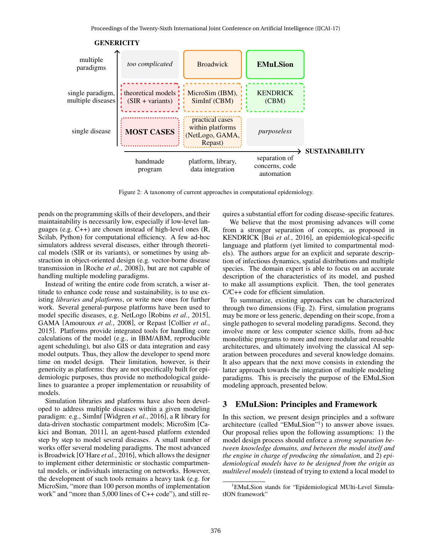

**GENERICITY** 

Figure 2: A taxonomy of current approaches in computational epidemiology.

pends on the programming skills of their developers, and their maintainability is necessarily low, especially if low-level languages (e.g. C++) are chosen instead of high-level ones (R, Scilab, Python) for computational efficiency. A few ad-hoc simulators address several diseases, either through theoretical models (SIR or its variants), or sometimes by using abstraction in object-oriented design (e.g. vector-borne disease transmission in [Roche *et al.*, 2008]), but are not capable of handling multiple modeling paradigms.

Instead of writing the entire code from scratch, a wiser attitude to enhance code reuse and sustainability, is to use existing *libraries and platforms*, or write new ones for further work. Several general-purpose platforms have been used to model specific diseases, e.g. NetLogo [Robins *et al.*, 2015], GAMA [Amouroux *et al.*, 2008], or Repast [Collier *et al.*, 2015]. Platforms provide integrated tools for handling core calculations of the model (e.g., in IBM/ABM, reproducible agent scheduling), but also GIS or data integration and easy model outputs. Thus, they allow the developer to spend more time on model design. Their limitation, however, is their genericity as platforms: they are not specifically built for epidemiologic purposes, thus provide no methodological guidelines to guarantee a proper implementation or reusability of models.

Simulation libraries and platforms have also been developed to address multiple diseases within a given modeling paradigm: e.g., SimInf [Widgren *et al.*, 2016], a R library for data-driven stochastic compartment models; MicroSim [Cakici and Boman, 2011], an agent-based platform extended step by step to model several diseases. A small number of works offer several modeling paradigms. The most advanced is Broadwick [O'Hare *et al.*, 2016], which allows the designer to implement either deterministic or stochastic compartmental models, or individuals interacting on networks. However, the development of such tools remains a heavy task (e.g. for MicroSim, "more than 100 person months of implementation work" and "more than 5,000 lines of C++ code"), and still requires a substantial effort for coding disease-specific features.

We believe that the most promising advances will come from a stronger separation of concepts, as proposed in KENDRICK [Bui *et al.*, 2016], an epidemiological-specific language and platform (yet limited to compartmental models). The authors argue for an explicit and separate description of infectious dynamics, spatial distributions and multiple species. The domain expert is able to focus on an accurate description of the characteristics of its model, and pushed to make all assumptions explicit. Then, the tool generates C/C++ code for efficient simulation.

To summarize, existing approaches can be characterized through two dimensions (Fig. 2). First, simulation programs may be more or less generic, depending on their scope, from a single pathogen to several modeling paradigms. Second, they involve more or less computer science skills, from ad-hoc monolithic programs to more and more modular and reusable architectures, and ultimately involving the classical AI separation between procedures and several knowledge domains. It also appears that the next move consists in extending the latter approach towards the integration of multiple modeling paradigms. This is precisely the purpose of the EMuLSion modeling approach, presented below.

### 3 EMuLSion: Principles and Framework

In this section, we present design principles and a software architecture (called "EMuLSion"<sup>1</sup>) to answer above issues. Our proposal relies upon the following assumptions: 1) the model design process should enforce a *strong separation between knowledge domains, and between the model itself and the engine in charge of producing the simulation*, and 2) *epidemiological models have to be designed from the origin as multilevel models* (instead of trying to extend a local model to

<sup>&</sup>lt;sup>1</sup>EMuLSion stands for "Epidemiological MUlti-Level SimulatION framework"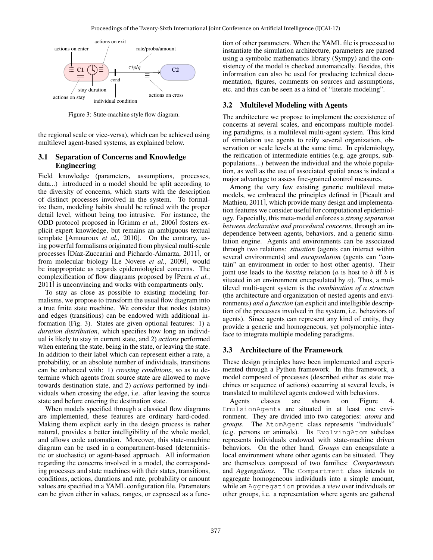

Figure 3: State-machine style flow diagram.

the regional scale or vice-versa), which can be achieved using multilevel agent-based systems, as explained below.

### 3.1 Separation of Concerns and Knowledge Engineering

Field knowledge (parameters, assumptions, processes, data...) introduced in a model should be split according to the diversity of concerns, which starts with the description of distinct processes involved in the system. To formalize them, modeling habits should be refined with the proper detail level, without being too intrusive. For instance, the ODD protocol proposed in [Grimm *et al.*, 2006] fosters explicit expert knowledge, but remains an ambiguous textual template [Amouroux *et al.*, 2010]. On the contrary, using powerful formalisms originated from physical multi-scale processes [Díaz-Zuccarini and Pichardo-Almarza, 2011], or from molecular biology [Le Novere *et al.*, 2009], would be inappropriate as regards epidemiological concerns. The complexification of flow diagrams proposed by [Perra *et al.*, 2011] is unconvincing and works with compartments only.

To stay as close as possible to existing modeling formalisms, we propose to transform the usual flow diagram into a true finite state machine. We consider that nodes (states) and edges (transitions) can be endowed with additional information (Fig. 3). States are given optional features: 1) a *duration distribution*, which specifies how long an individual is likely to stay in current state, and 2) *actions* performed when entering the state, being in the state, or leaving the state. In addition to their label which can represent either a rate, a probability, or an absolute number of individuals, transitions can be enhanced with: 1) *crossing conditions*, so as to determine which agents from source state are allowed to move towards destination state, and 2) *actions* performed by individuals when crossing the edge, i.e. after leaving the source state and before entering the destination state.

When models specified through a classical flow diagrams are implemented, these features are ordinary hard-coded. Making them explicit early in the design process is rather natural, provides a better intelligibility of the whole model, and allows code automation. Moreover, this state-machine diagram can be used in a compartment-based (deterministic or stochastic) or agent-based approach. All information regarding the concerns involved in a model, the corresponding processes and state machines with their states, transitions, conditions, actions, durations and rate, probability or amount values are specified in a YAML configuration file. Parameters can be given either in values, ranges, or expressed as a function of other parameters. When the YAML file is processed to instantiate the simulation architecture, parameters are parsed using a symbolic mathematics library (Sympy) and the consistency of the model is checked automatically. Besides, this information can also be used for producing technical documentation, figures, comments on sources and assumptions, etc. and thus can be seen as a kind of "literate modeling".

# 3.2 Multilevel Modeling with Agents

The architecture we propose to implement the coexistence of concerns at several scales, and encompass multiple modeling paradigms, is a multilevel multi-agent system. This kind of simulation use agents to reify several organization, observation or scale levels at the same time. In epidemiology, the reification of intermediate entities (e.g. age groups, subpopulations...) between the individual and the whole population, as well as the use of associated spatial areas is indeed a major advantage to assess fine-grained control measures.

Among the very few existing generic multilevel metamodels, we embraced the principles defined in [Picault and Mathieu, 2011], which provide many design and implementation features we consider useful for computational epidemiology. Especially, this meta-model enforces a *strong separation between declarative and procedural concerns*, through an independence between agents, behaviors, and a generic simulation engine. Agents and environments can be associated through two relations: *situation* (agents can interact within several environments) and *encapsulation* (agents can "contain" an environment in order to host other agents). Their joint use leads to the *hosting* relation (a is host to b iff b is situated in an environment encapsulated by  $a$ ). Thus, a multilevel multi-agent system is the *combination of a structure* (the architecture and organization of nested agents and environments) *and a function* (an explicit and intelligible description of the processes involved in the system, i.e. behaviors of agents). Since agents can represent any kind of entity, they provide a generic and homogeneous, yet polymorphic interface to integrate multiple modeling paradigms.

# 3.3 Architecture of the Framework

These design principles have been implemented and experimented through a Python framework. In this framework, a model composed of processes (described either as state machines or sequence of actions) occurring at several levels, is translated to multilevel agents endowed with behaviors.

Agents classes are shown on Figure 4. EmulsionAgents are situated in at least one environment. They are divided into two categories: *atoms* and *groups*. The AtomAgent class represents "individuals" (e.g. persons or animals). Its EvolvingAtom subclass represents individuals endowed with state-machine driven behaviors. On the other hand, *Groups* can encapsulate a local environment where other agents can be situated. They are themselves composed of two families: *Compartments* and *Aggregations*. The Compartment class intends to aggregate homogeneous individuals into a simple amount, while an Aggregation provides a *view* over individuals or other groups, i.e. a representation where agents are gathered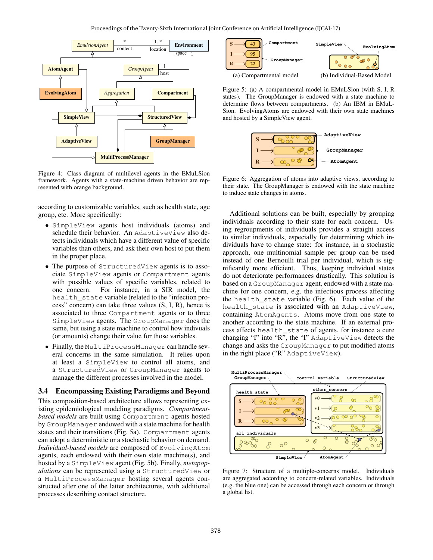

Figure 4: Class diagram of multilevel agents in the EMuLSion framework. Agents with a state-machine driven behavior are represented with orange background.

according to customizable variables, such as health state, age group, etc. More specifically:

- SimpleView agents host individuals (atoms) and schedule their behavior. An AdaptiveView also detects individuals which have a different value of specific variables than others, and ask their own host to put them in the proper place.
- The purpose of StructuredView agents is to associate SimpleView agents or Compartment agents with possible values of specific variables, related to one concern. For instance, in a SIR model, the health\_state variable (related to the "infection process" concern) can take three values (S, I, R), hence is associated to three Compartment agents or to three SimpleView agents. The GroupManager does the same, but using a state machine to control how indivuals (or amounts) change their value for those variables.
- Finally, the MultiProcessManager can handle several concerns in the same simulation. It relies upon at least a SimpleView to control all atoms, and a StructuredView or GroupManager agents to manage the different processes involved in the model.

#### 3.4 Encompassing Existing Paradigms and Beyond

This composition-based architecture allows representing existing epidemiological modeling paradigms. *Compartmentbased models* are built using Compartment agents hosted by GroupManager endowed with a state machine for health states and their transitions (Fig. 5a). Compartment agents can adopt a deterministic or a stochastic behavior on demand. *Individual-based models* are composed of EvolvingAtom agents, each endowed with their own state machine(s), and hosted by a SimpleView agent (Fig. 5b). Finally, *metapopulations* can be represented using a StructuredView or a MultiProcessManager hosting several agents constructed after one of the latter architectures, with additional processes describing contact structure.



Figure 5: (a) A compartmental model in EMuLSion (with S, I, R states). The GroupManager is endowed with a state machine to determine flows between compartments. (b) An IBM in EMuL-Sion. EvolvingAtoms are endowed with their own state machines and hosted by a SimpleView agent.



Figure 6: Aggregation of atoms into adaptive views, according to their state. The GroupManager is endowed with the state machine to induce state changes in atoms.

Additional solutions can be built, especially by grouping individuals according to their state for each concern. Using regroupments of individuals provides a straight access to similar individuals, especially for determining which individuals have to change state: for instance, in a stochastic approach, one multinomial sample per group can be used instead of one Bernoulli trial per individual, which is significantly more efficient. Thus, keeping individual states do not deteriorate performances drastically. This solution is based on a GroupManager agent, endowed with a state machine for one concern, e.g. the infectious process affecting the health\_state variable (Fig. 6). Each value of the health\_state is associated with an AdaptiveView, containing AtomAgents. Atoms move from one state to another according to the state machine. If an external process affects health\_state of agents, for instance a cure changing "I" into "R", the "I" AdaptiveView detects the change and asks the GroupManager to put modified atoms in the right place ("R" AdaptiveView).



Figure 7: Structure of a multiple-concerns model. Individuals are aggregated according to concern-related variables. Individuals (e.g. the blue one) can be accessed through each concern or through a global list.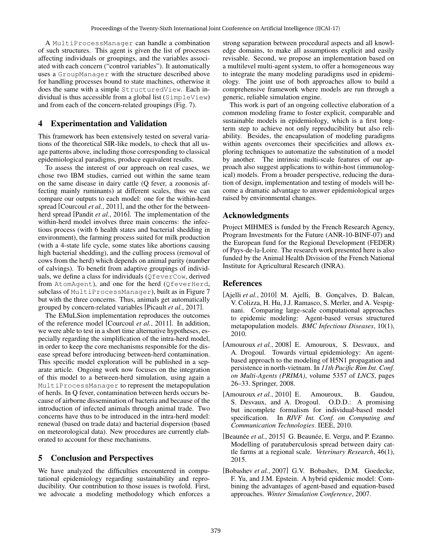A MultiProcessManager can handle a combination of such structures. This agent is given the list of processes affecting individuals or groupings, and the variables associated with each concern ("control variables"). It automatically uses a GroupManager with the structure described above for handling processes bound to state machines, otherwise it does the same with a simple StructuredView. Each individual is thus accessible from a global list (SimpleView) and from each of the concern-related groupings (Fig. 7).

### 4 Experimentation and Validation

This framework has been extensively tested on several variations of the theoretical SIR-like models, to check that all usage patterns above, including those corresponding to classical epidemiological paradigms, produce equivalent results.

To assess the interest of our approach on real cases, we chose two IBM studies, carried out within the same team on the same disease in dairy cattle (Q fever, a zoonosis affecting mainly ruminants) at different scales, thus we can compare our outputs to each model: one for the within-herd spread [Courcoul *et al.*, 2011], and the other for the betweenherd spread [Pandit *et al.*, 2016]. The implementation of the within-herd model involves three main concerns: the infectious process (with 6 health states and bacterial shedding in environment), the farming process suited for milk production (with a 4-state life cycle, some states like abortions causing high bacterial shedding), and the culling process (removal of cows from the herd) which depends on animal parity (number of calvings). To benefit from adaptive groupings of individuals, we define a class for individuals (QfeverCow, derived from AtomAgent), and one for the herd (QfeverHerd, subclass of MultiProcessManager), built as in Figure 7 but with the three concerns. Thus, animals get automatically grouped by concern-related variables [Picault *et al.*, 2017].

The EMuLSion implementation reproduces the outcomes of the reference model [Courcoul *et al.*, 2011]. In addition, we were able to test in a short time alternative hypotheses, especially regarding the simplification of the intra-herd model, in order to keep the core mechanisms responsible for the disease spread before introducing between-herd contamination. This specific model exploration will be published in a separate article. Ongoing work now focuses on the integration of this model to a between-herd simulation, using again a MultiProcessManager to represent the metapopulation of herds. In Q fever, contamination between herds occurs because of airborne dissemination of bacteria and because of the introduction of infected animals through animal trade. Two concerns have thus to be introduced in the intra-herd model: renewal (based on trade data) and bacterial dispersion (based on meteorological data). New procedures are currently elaborated to account for these mechanisms.

# 5 Conclusion and Perspectives

We have analyzed the difficulties encountered in computational epidemiology regarding sustainability and reproducibility. Our contribution to those issues is twofold. First, we advocate a modeling methodology which enforces a strong separation between procedural aspects and all knowledge domains, to make all assumptions explicit and easily revisable. Second, we propose an implementation based on a multilevel multi-agent system, to offer a homogeneous way to integrate the many modeling paradigms used in epidemiology. The joint use of both approaches allow to build a comprehensive framework where models are run through a generic, reliable simulation engine.

This work is part of an ongoing collective elaboration of a common modeling frame to foster explicit, comparable and sustainable models in epidemiology, which is a first longterm step to achieve not only reproducibility but also reliability. Besides, the encapsulation of modeling paradigms within agents overcomes their specificities and allows exploring techniques to automatize the substitution of a model by another. The intrinsic multi-scale features of our approach also suggest applications to within-host (immunological) models. From a broader perspective, reducing the duration of design, implementation and testing of models will become a dramatic advantage to answer epidemiological urges raised by environmental changes.

# Acknowledgments

Project MIHMES is funded by the French Research Agency, Program Investments for the Future (ANR-10-BINF-07) and the European fund for the Regional Development (FEDER) of Pays-de-la-Loire. The research work presented here is also funded by the Animal Health Division of the French National Institute for Agricultural Research (INRA).

### References

- [Ajelli *et al.*, 2010] M. Ajelli, B. Gonçalves, D. Balcan, V. Colizza, H. Hu, J.J. Ramasco, S. Merler, and A. Vespignani. Comparing large-scale computational approaches to epidemic modeling: Agent-based versus structured metapopulation models. *BMC Infectious Diseases*, 10(1), 2010.
- [Amouroux *et al.*, 2008] E. Amouroux, S. Desvaux, and A. Drogoul. Towards virtual epidemiology: An agentbased approach to the modeling of H5N1 propagation and persistence in north-vietnam. In *11th Pacific Rim Int. Conf. on Multi-Agents (PRIMA)*, volume 5357 of *LNCS*, pages 26–33. Springer, 2008.
- [Amouroux *et al.*, 2010] E. Amouroux, B. Gaudou, S. Desvaux, and A. Drogoul. O.D.D.: A promising but incomplete formalism for individual-based model specification. In *RIVF Int. Conf. on Computing and Communication Technologies*. IEEE, 2010.
- [Beaunée *et al.*, 2015] G. Beaunée, E. Vergu, and P. Ezanno. Modelling of paratuberculosis spread between dairy cattle farms at a regional scale. *Veterinary Research*, 46(1), 2015.
- [Bobashev *et al.*, 2007] G.V. Bobashev, D.M. Goedecke, F. Yu, and J.M. Epstein. A hybrid epidemic model: Combining the advantages of agent-based and equation-based approaches. *Winter Simulation Conference*, 2007.